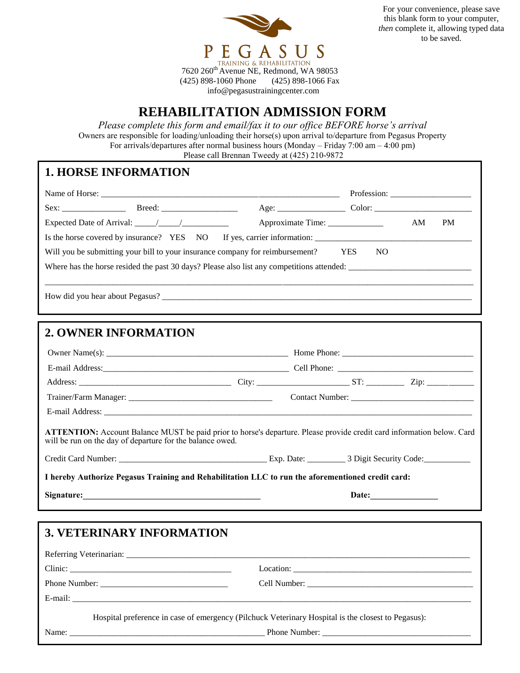

For your convenience, please save this blank form to your computer, *then* complete it, allowing typed data to be saved.

(425) 898-1060 Phone (425) 898-1066 Fax info@pegasustrainingcenter.com

## **REHABILITATION ADMISSION FORM**

*Please complete this form and email/fax it to our office BEFORE horse's arrival* Owners are responsible for loading/unloading their horse(s) upon arrival to/departure from Pegasus Property For arrivals/departures after normal business hours (Monday – Friday  $7:00 \text{ am} - 4:00 \text{ pm}$ ) Please call Brennan Tweedy at (425) 210-9872

## **1. HORSE INFORMATION**

|                                                           | AM<br>PM                                                                                                                                                                                                                             |  |  |  |
|-----------------------------------------------------------|--------------------------------------------------------------------------------------------------------------------------------------------------------------------------------------------------------------------------------------|--|--|--|
|                                                           |                                                                                                                                                                                                                                      |  |  |  |
|                                                           | Will you be submitting your bill to your insurance company for reimbursement? YES<br>N <sub>O</sub>                                                                                                                                  |  |  |  |
|                                                           |                                                                                                                                                                                                                                      |  |  |  |
|                                                           |                                                                                                                                                                                                                                      |  |  |  |
|                                                           |                                                                                                                                                                                                                                      |  |  |  |
|                                                           |                                                                                                                                                                                                                                      |  |  |  |
| <b>2. OWNER INFORMATION</b>                               |                                                                                                                                                                                                                                      |  |  |  |
|                                                           |                                                                                                                                                                                                                                      |  |  |  |
|                                                           |                                                                                                                                                                                                                                      |  |  |  |
|                                                           |                                                                                                                                                                                                                                      |  |  |  |
|                                                           | Address: <u>2000 - 2000 - 2000 - 2000 - 2000 - 2000 - 2000 - 2000 - 2000 - 2000 - 2000 - 2000 - 2000 - 2000 - 2000 - 2000 - 2000 - 2000 - 2000 - 2000 - 2000 - 2000 - 2000 - 2000 - 2000 - 2000 - 2000 - 2000 - 2000 - 2000 - 20</u> |  |  |  |
|                                                           |                                                                                                                                                                                                                                      |  |  |  |
|                                                           |                                                                                                                                                                                                                                      |  |  |  |
| will be run on the day of departure for the balance owed. | <b>ATTENTION:</b> Account Balance MUST be paid prior to horse's departure. Please provide credit card information below. Card                                                                                                        |  |  |  |
|                                                           |                                                                                                                                                                                                                                      |  |  |  |
|                                                           | I hereby Authorize Pegasus Training and Rehabilitation LLC to run the aforementioned credit card:                                                                                                                                    |  |  |  |
|                                                           | Date: $\qquad \qquad$                                                                                                                                                                                                                |  |  |  |
|                                                           |                                                                                                                                                                                                                                      |  |  |  |
| <b>3. VETERINARY INFORMATION</b>                          |                                                                                                                                                                                                                                      |  |  |  |
|                                                           |                                                                                                                                                                                                                                      |  |  |  |
| Clinic:                                                   |                                                                                                                                                                                                                                      |  |  |  |
|                                                           |                                                                                                                                                                                                                                      |  |  |  |

Hospital preference in case of emergency (Pilchuck Veterinary Hospital is the closest to Pegasus):

E-mail: \_\_\_\_\_\_\_\_\_\_\_\_\_\_\_\_\_\_\_\_\_\_\_\_\_\_\_\_\_\_\_\_\_\_\_\_\_\_\_\_\_\_\_\_\_\_\_\_\_\_\_\_\_\_\_\_\_\_\_\_\_\_\_\_\_\_\_\_\_\_\_\_\_\_\_\_\_\_\_\_\_\_\_\_\_\_\_\_\_\_\_\_\_\_

Name: \_\_\_\_\_\_\_\_\_\_\_\_\_\_\_\_\_\_\_\_\_\_\_\_\_\_\_\_\_\_\_\_\_\_\_\_\_\_\_\_\_\_\_\_\_\_ Phone Number: \_\_\_\_\_\_\_\_\_\_\_\_\_\_\_\_\_\_\_\_\_\_\_\_\_\_\_\_\_\_\_\_\_\_\_